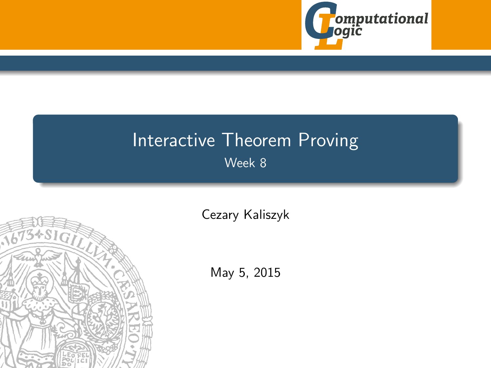

# <span id="page-0-0"></span>Interactive Theorem Proving Week 8



[Cezary Kaliszyk](http://cl-informatik.uibk.ac.at/~cek)

May 5, 2015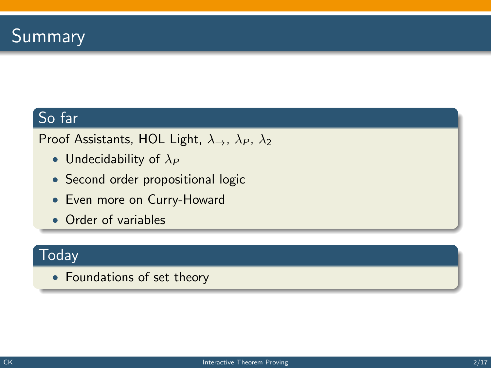### So far

Proof Assistants, HOL Light,  $\lambda_{\rightarrow}$ ,  $\lambda_{P}$ ,  $\lambda_{2}$ 

- Undecidability of  $\lambda_P$
- Second order propositional logic
- Even more on Curry-Howard
- Order of variables

#### **Today**

• Foundations of set theory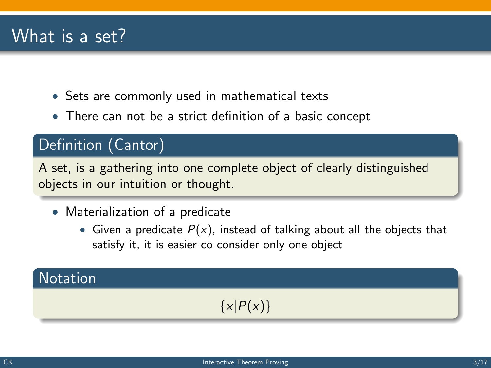## What is a set?

- Sets are commonly used in mathematical texts
- There can not be a strict definition of a basic concept

#### Definition (Cantor)

A set, is a gathering into one complete object of clearly distinguished objects in our intuition or thought.

- Materialization of a predicate
	- Given a predicate  $P(x)$ , instead of talking about all the objects that satisfy it, it is easier co consider only one object

### **Notation**

### $\{x|P(x)\}\$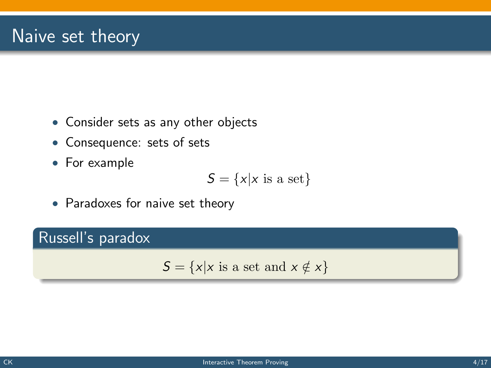## Naive set theory

- Consider sets as any other objects
- Consequence: sets of sets
- For example

$$
S = \{x | x \text{ is a set}\}
$$

• Paradoxes for naive set theory

#### Russell's paradox

 $S = \{x | x \text{ is a set and } x \notin x\}$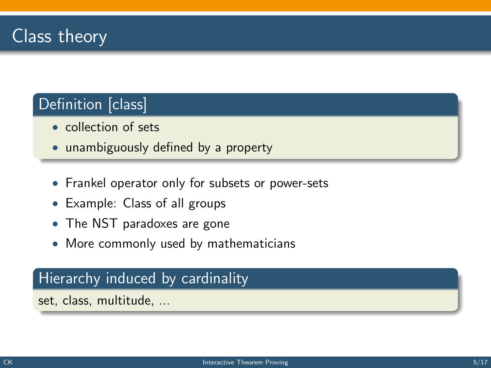## Definition [class]

- collection of sets
- unambiguously defined by a property
- Frankel operator only for subsets or power-sets
- Example: Class of all groups
- The NST paradoxes are gone
- More commonly used by mathematicians

#### Hierarchy induced by cardinality

set, class, multitude, ...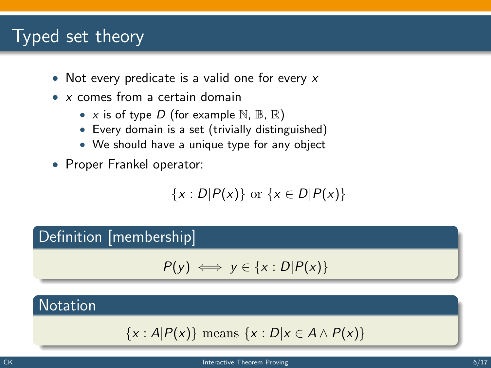## Typed set theory

- Not every predicate is a valid one for every  $x$
- x comes from a certain domain
	- x is of type D (for example  $\mathbb{N}, \mathbb{B}, \mathbb{R}$ )
	- Every domain is a set (trivially distinguished)
	- We should have a unique type for any object
- Proper Frankel operator:

$$
\{x: D|P(x)\} \text{ or } \{x \in D|P(x)\}
$$

#### Definition [membership]

$$
P(y) \iff y \in \{x : D | P(x)\}
$$

#### **Notation**

$$
\{x : A|P(x)\} \text{ means } \{x : D|x \in A \land P(x)\}
$$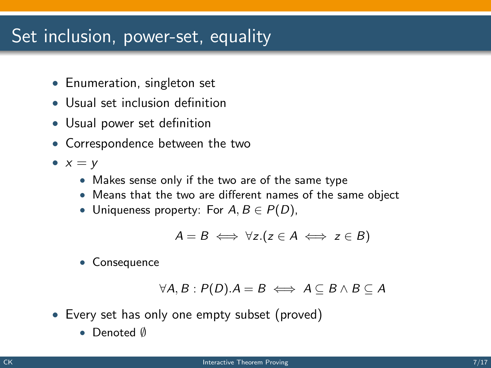## Set inclusion, power-set, equality

- Enumeration, singleton set
- Usual set inclusion definition
- Usual power set definition
- Correspondence between the two
- $x = y$ 
	- Makes sense only if the two are of the same type
	- Means that the two are different names of the same object
	- Uniqueness property: For  $A, B \in P(D)$ ,

$$
A = B \iff \forall z. (z \in A \iff z \in B)
$$

• Consequence

$$
\forall A, B: P(D). A = B \iff A \subseteq B \land B \subseteq A
$$

- Every set has only one empty subset (proved)
	- Denoted ∅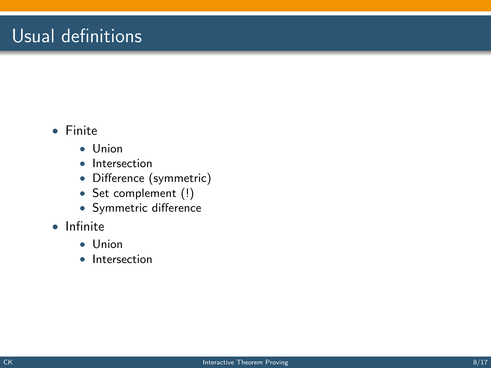## Usual definitions

#### • Finite

- Union
- Intersection
- Difference (symmetric)
- Set complement (!)
- Symmetric difference
- Infinite
	- Union
	- Intersection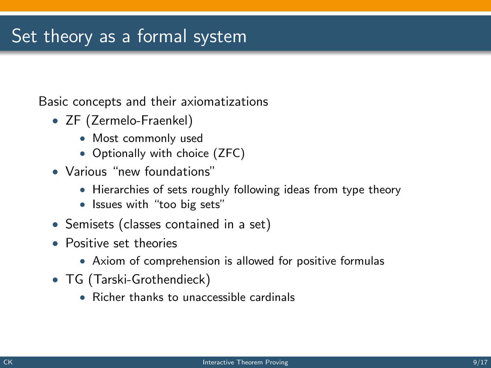## Set theory as a formal system

Basic concepts and their axiomatizations

- ZF (Zermelo-Fraenkel)
	- Most commonly used
	- Optionally with choice (ZFC)
- Various "new foundations"
	- Hierarchies of sets roughly following ideas from type theory
	- Issues with "too big sets"
- Semisets (classes contained in a set)
- Positive set theories
	- Axiom of comprehension is allowed for positive formulas
- TG (Tarski-Grothendieck)
	- Richer thanks to unaccessible cardinals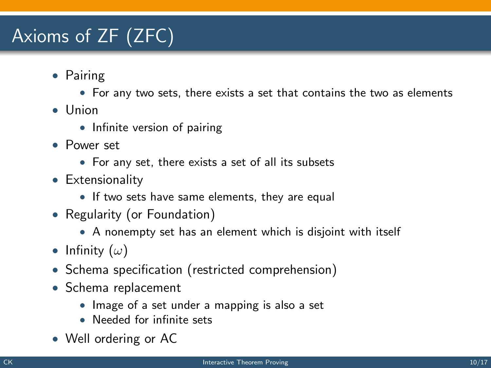# Axioms of ZF (ZFC)

- Pairing
	- For any two sets, there exists a set that contains the two as elements
- Union
	- Infinite version of pairing
- Power set
	- For any set, there exists a set of all its subsets
- Extensionality
	- If two sets have same elements, they are equal
- Regularity (or Foundation)
	- A nonempty set has an element which is disjoint with itself
- Infinity  $(\omega)$
- Schema specification (restricted comprehension)
- Schema replacement
	- Image of a set under a mapping is also a set
	- Needed for infinite sets
- Well ordering or AC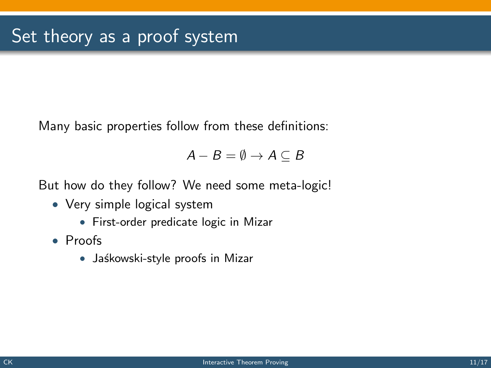Many basic properties follow from these definitions:

$$
A - B = \emptyset \rightarrow A \subseteq B
$$

But how do they follow? We need some meta-logic!

- Very simple logical system
	- First-order predicate logic in Mizar
- Proofs
	- Jaśkowski-style proofs in Mizar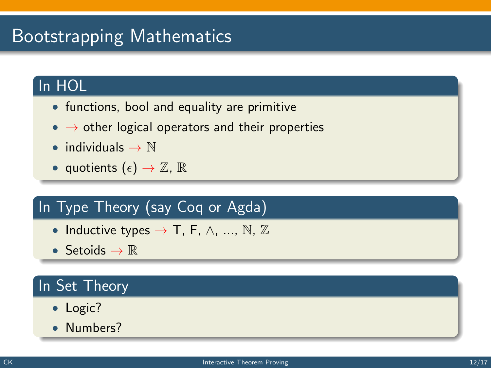# Bootstrapping Mathematics

### In HOL

- functions, bool and equality are primitive
- $\bullet \rightarrow$  other logical operators and their properties
- individuals  $\rightarrow \mathbb{N}$
- quotients  $(\epsilon) \to \mathbb{Z}$ ,  $\mathbb{R}$

## In Type Theory (say Coq or Agda)

- Inductive types  $\rightarrow$  T, F,  $\wedge$ , ..., N, Z
- Setoids  $\rightarrow \mathbb{R}$

### In Set Theory

- Logic?
- Numbers?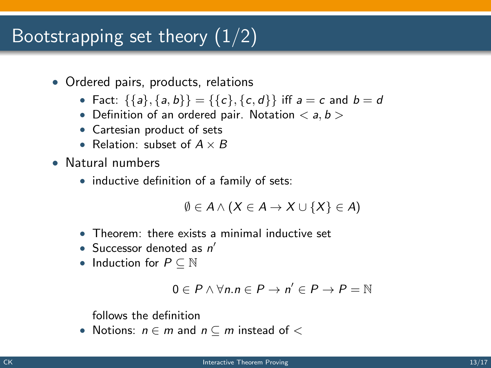## Bootstrapping set theory  $(1/2)$

- Ordered pairs, products, relations
	- Fact:  $\{\{a\},\{a,b\}\} = \{\{c\},\{c,d\}\}\$ iff  $a = c$  and  $b = d$
	- Definition of an ordered pair. Notation  $\langle a, b \rangle$
	- Cartesian product of sets
	- Relation: subset of  $A \times B$
- Natural numbers
	- inductive definition of a family of sets:

$$
\emptyset \in A \wedge (X \in A \to X \cup \{X\} \in A)
$$

- Theorem: there exists a minimal inductive set
- Successor denoted as  $n'$
- Induction for  $P \subseteq \mathbb{N}$

$$
0\in P\wedge\forall n.n\in P\to n'\in P\to P=\mathbb{N}
$$

follows the definition

• Notions:  $n \in m$  and  $n \subseteq m$  instead of  $\lt$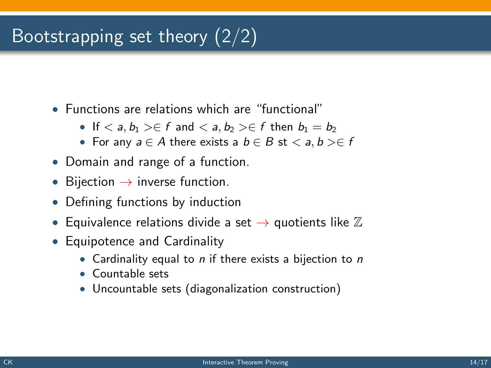# Bootstrapping set theory (2/2)

- Functions are relations which are "functional"
	- If  $\langle a, b_1 \rangle \in f$  and  $\langle a, b_2 \rangle \in f$  then  $b_1 = b_2$
	- For any  $a \in A$  there exists a  $b \in B$  st  $\langle a, b \rangle \in f$
- Domain and range of a function.
- Bijection  $\rightarrow$  inverse function.
- Defining functions by induction
- Equivalence relations divide a set  $\rightarrow$  quotients like  $\mathbb Z$
- Equipotence and Cardinality
	- Cardinality equal to  $n$  if there exists a bijection to  $n$
	- Countable sets
	- Uncountable sets (diagonalization construction)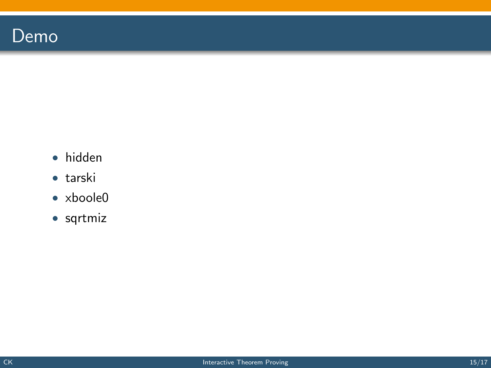## Demo

- hidden
- tarski
- xboole0
- sqrtmiz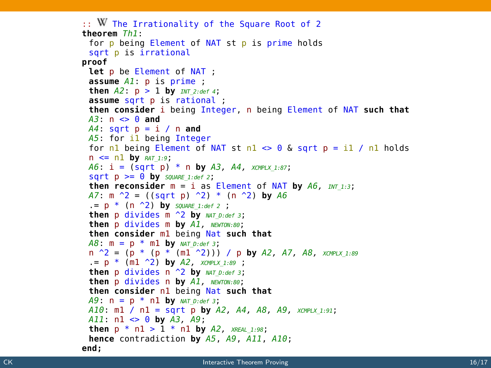```
\therefore W The Irrationality of the Square Root of 2
theorem Th<sub>1</sub>:
 for p being Element of NAT st p is prime holds
 sqrt p is irrational
proof
 Let p be Element of NAT ;
 \overline{A} D \overline{A} D \overline{B} D \overline{B} D \overline{C} D \overline{D} D \overline{D} D \overline{D} D \overline{D} D \overline{D} D \overline{D} D \overline{D} D \overline{D} D \overline{D} D \overline{D} D \overline{D} D \overline{D} D 
 then A2: p > 1 by INT 2: def 4;
 assume sqrt p is rational;
 then consider i being Integer, n being Element of NAT such that
 A3: n \leq 0 and
 A4: sqrt p = i / n and
 A5: for il being Integer
 for nl being Element of NAT st nl \approx 0 & sart p = il / nl holds
 n \leq n1 by RAT_1.9;
 A6: i = (sqrt p) * n by A3, A4, xompLx 1:87;\text{sort } D \geq 0 by SOUARE 1:def 2:
 then reconsider m = i as Element of NAT by A6. mr \rightarrow 3;
 A7: m^2 = ((sqrt p)^2) * (n^2) by A6= p * (n \rightharpoonup 2) by square 1:def 2;
 then p divides m \sim 2 by NAT D:def 3;
 then p divides m bv Al. NEWTON:80:
 then consider ml being Nat such that
 A8: m = p * m1 by NAT D: def 3:
 n \hat{P} = (p * (p * (m1 \hat{P}))) / p by A2, A7, A8, xay PLX 1:89
  p * (m1 \t2) by A2, xcMPLX 1:89 ;
 then p divides n \uparrow 2 by NAT D:def 3:
 then p divides n by A1, NEWTON:80;
 then consider nl being Nat such that
 A9: n = p * n1 by NAT D:def 3;
 A10: ml / nl = sqrt p by A2, A4, A8, A9, XCMPLX 1:91;
 A11: n1 \iff 0 by A3, A9;then p * n1 > 1 * n1 by A2, x_{REAL 1:98};
 hence contradiction by A5, A9, A11, A10:
end:
```